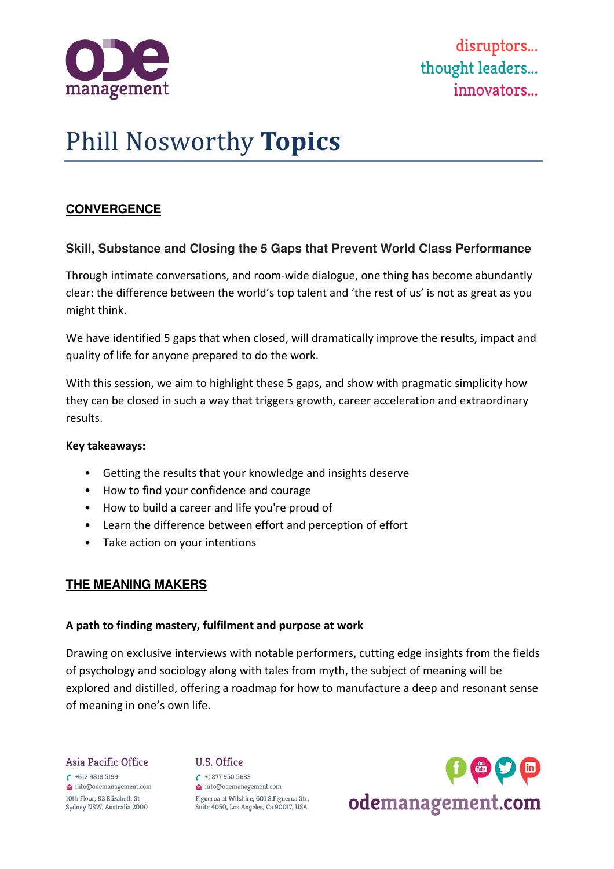

# Phill Nosworthy **Topics**

# **CONVERGENCE**

## **Skill, Substance and Closing the 5 Gaps that Prevent World Class Performance**

Through intimate conversations, and room-wide dialogue, one thing has become abundantly clear: the difference between the world's top talent and 'the rest of us' is not as great as you might think.

We have identified 5 gaps that when closed, will dramatically improve the results, impact and quality of life for anyone prepared to do the work.

With this session, we aim to highlight these 5 gaps, and show with pragmatic simplicity how they can be closed in such a way that triggers growth, career acceleration and extraordinary results.

#### **Key takeaways:**

- Getting the results that your knowledge and insights deserve
- How to find your confidence and courage
- How to build a career and life you're proud of
- Learn the difference between effort and perception of effort
- Take action on your intentions

## **THE MEANING MAKERS**

## **A path to finding mastery, fulfilment and purpose at work**

Drawing on exclusive interviews with notable performers, cutting edge insights from the fields of psychology and sociology along with tales from myth, the subject of meaning will be explored and distilled, offering a roadmap for how to manufacture a deep and resonant sense of meaning in one's own life.

Asia Pacific Office  $6 + 61298185199$ info@odemanagement.com 10th Floor, 82 Elizabeth St Sydney NSW, Australia 2000

#### U.S. Office

 $\binom{+18779505633}{ }$ info@odemanagement.com Figueroa at Wilshire, 601 S.Figueroa Str, Suite 4050, Los Angeles, Ca 90017, USA